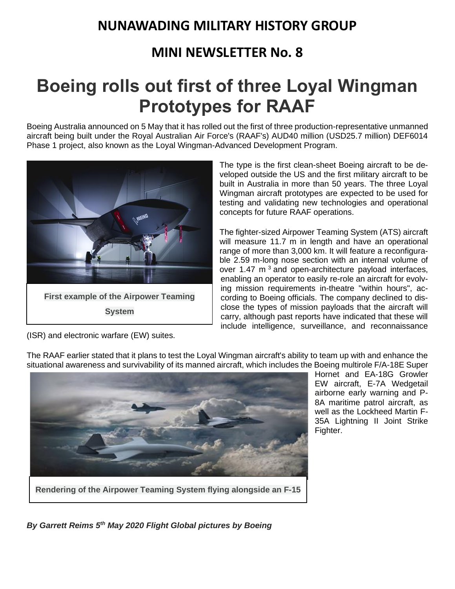## **NUNAWADING MILITARY HISTORY GROUP**

### **MINI NEWSLETTER No. 8**

## **Boeing rolls out first of three Loyal Wingman Prototypes for RAAF**

Boeing Australia announced on 5 May that it has rolled out the first of three production-representative unmanned aircraft being built under the Royal Australian Air Force's (RAAF's) AUD40 million (USD25.7 million) DEF6014 Phase 1 project, also known as the Loyal Wingman-Advanced Development Program.



The type is the first clean-sheet Boeing aircraft to be developed outside the US and the first military aircraft to be built in Australia in more than 50 years. The three Loyal Wingman aircraft prototypes are expected to be used for testing and validating new technologies and operational concepts for future RAAF operations.

The fighter-sized Airpower Teaming System (ATS) aircraft will measure 11.7 m in length and have an operational range of more than 3,000 km. It will feature a reconfigurable 2.59 m-long nose section with an internal volume of over 1.47  $m<sup>3</sup>$  and open-architecture payload interfaces, enabling an operator to easily re-role an aircraft for evolving mission requirements in-theatre "within hours", according to Boeing officials. The company declined to disclose the types of mission payloads that the aircraft will carry, although past reports have indicated that these will include intelligence, surveillance, and reconnaissance

(ISR) and electronic warfare (EW) suites.



The RAAF earlier stated that it plans to test the Loyal Wingman aircraft's ability to team up with and enhance the situational awareness and survivability of its manned aircraft, which includes the Boeing multirole F/A-18E Super

Hornet and EA-18G Growler EW aircraft, E-7A Wedgetail airborne early warning and P-8A maritime patrol aircraft, as well as the Lockheed Martin F-35A Lightning II Joint Strike Fighter.

**Rendering of the Airpower Teaming System flying alongside an F-15**

*By Garrett Reims 5th May 2020 Flight Global pictures by Boeing*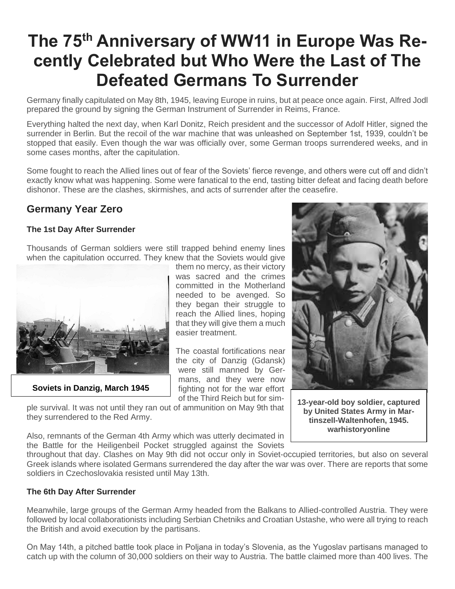# **The 75th Anniversary of WW11 in Europe Was Recently Celebrated but Who Were the Last of The Defeated Germans To Surrender**

Germany finally capitulated on May 8th, 1945, leaving Europe in ruins, but at peace once again. First, Alfred Jodl prepared the ground by signing the German Instrument of Surrender in Reims, France.

Everything halted the next day, when Karl Donitz, Reich president and the successor of Adolf Hitler, signed the surrender in Berlin. But the recoil of the war machine that was unleashed on September 1st, 1939, couldn't be stopped that easily. Even though the war was officially over, some German troops surrendered weeks, and in some cases months, after the capitulation.

Some fought to reach the Allied lines out of fear of the Soviets' fierce revenge, and others were cut off and didn't exactly know what was happening. Some were fanatical to the end, tasting bitter defeat and facing death before dishonor. These are the clashes, skirmishes, and acts of surrender after the ceasefire.

### **Germany Year Zero**

#### **The 1st Day After Surrender**

Thousands of German soldiers were still trapped behind enemy lines when the capitulation occurred. They knew that the Soviets would give



**Soviets in Danzig, March 1945**

them no mercy, as their victory was sacred and the crimes committed in the Motherland needed to be avenged. So they began their struggle to reach the Allied lines, hoping that they will give them a much easier treatment.

The coastal fortifications near the city of Danzig (Gdansk) were still manned by Germans, and they were now fighting not for the war effort of the Third Reich but for sim-

ple survival. It was not until they ran out of ammunition on May 9th that they surrendered to the Red Army.



**13-year-old boy soldier, captured by United States Army in Martinszell-Waltenhofen, 1945. warhistoryonline**

Also, remnants of the German 4th Army which was utterly decimated in the Battle for the Heiligenbeil Pocket struggled against the Soviets

throughout that day. Clashes on May 9th did not occur only in Soviet-occupied territories, but also on several Greek islands where isolated Germans surrendered the day after the war was over. There are reports that some soldiers in Czechoslovakia resisted until May 13th.

#### **The 6th Day After Surrender**

Meanwhile, large groups of the German Army headed from the Balkans to Allied-controlled Austria. They were followed by local collaborationists including Serbian Chetniks and Croatian Ustashe, who were all trying to reach the British and avoid execution by the partisans.

On May 14th, a pitched battle took place in Poljana in today's Slovenia, as the Yugoslav partisans managed to catch up with the column of 30,000 soldiers on their way to Austria. The battle claimed more than 400 lives. The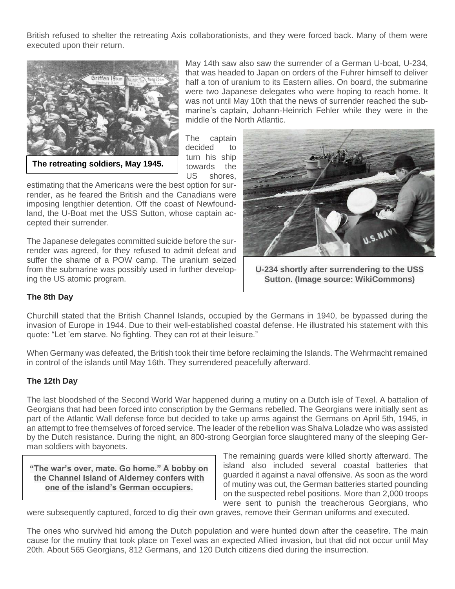British refused to shelter the retreating Axis collaborationists, and they were forced back. Many of them were executed upon their return.



**The retreating soldiers, May 1945.**

May 14th saw also saw the surrender of a German U-boat, U-234, that was headed to Japan on orders of the Fuhrer himself to deliver half a ton of uranium to its Eastern allies. On board, the submarine were two Japanese delegates who were hoping to reach home. It was not until May 10th that the news of surrender reached the submarine's captain, Johann-Heinrich Fehler while they were in the middle of the North Atlantic.

The captain decided to turn his ship towards the US shores,

estimating that the Americans were the best option for surrender, as he feared the British and the Canadians were imposing lengthier detention. Off the coast of Newfoundland, the U-Boat met the USS Sutton, whose captain accepted their surrender.

The Japanese delegates committed suicide before the surrender was agreed, for they refused to admit defeat and suffer the shame of a POW camp. The uranium seized from the submarine was possibly used in further developing the US atomic program.



**U-234 shortly after surrendering to the USS Sutton. (Image source: WikiCommons)**

#### **The 8th Day**

Churchill stated that the British Channel Islands, occupied by the Germans in 1940, be bypassed during the invasion of Europe in 1944. Due to their well-established coastal defense. He illustrated his statement with this quote: "Let 'em starve. No fighting. They can rot at their leisure."

When Germany was defeated, the British took their time before reclaiming the Islands. The Wehrmacht remained in control of the islands until May 16th. They surrendered peacefully afterward.

#### **The 12th Day**

The last bloodshed of the Second World War happened during a mutiny on a Dutch isle of Texel. A battalion of Georgians that had been forced into conscription by the Germans rebelled. The Georgians were initially sent as part of the Atlantic Wall defense force but decided to take up arms against the Germans on April 5th, 1945, in an attempt to free themselves of forced service. The leader of the rebellion was Shalva Loladze who was assisted by the Dutch resistance. During the night, an 800-strong Georgian force slaughtered many of the sleeping German soldiers with bayonets.

**"The war's over, mate. Go home." A bobby on the Channel Island of Alderney confers with one of the island's German occupiers.**

The remaining guards were killed shortly afterward. The island also included several coastal batteries that guarded it against a naval offensive. As soon as the word of mutiny was out, the German batteries started pounding on the suspected rebel positions. More than 2,000 troops were sent to punish the treacherous Georgians, who

were subsequently captured, forced to dig their own graves, remove their German uniforms and executed.

The ones who survived hid among the Dutch population and were hunted down after the ceasefire. The main cause for the mutiny that took place on Texel was an expected Allied invasion, but that did not occur until May 20th. About 565 Georgians, 812 Germans, and 120 Dutch citizens died during the insurrection.